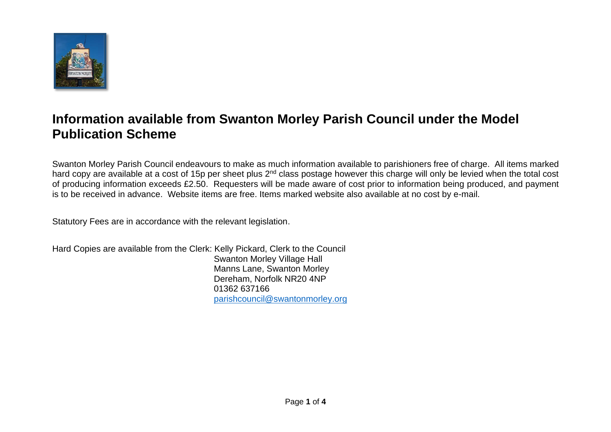

## **Information available from Swanton Morley Parish Council under the Model Publication Scheme**

Swanton Morley Parish Council endeavours to make as much information available to parishioners free of charge. All items marked hard copy are available at a cost of 15p per sheet plus 2<sup>nd</sup> class postage however this charge will only be levied when the total cost of producing information exceeds £2.50. Requesters will be made aware of cost prior to information being produced, and payment is to be received in advance. Website items are free. Items marked website also available at no cost by e-mail.

Statutory Fees are in accordance with the relevant legislation.

Hard Copies are available from the Clerk: Kelly Pickard, Clerk to the Council Swanton Morley Village Hall Manns Lane, Swanton Morley Dereham, Norfolk NR20 4NP 01362 637166 [parishcouncil@swantonmorley.org](mailto:parishcouncil@swantonmorley.org)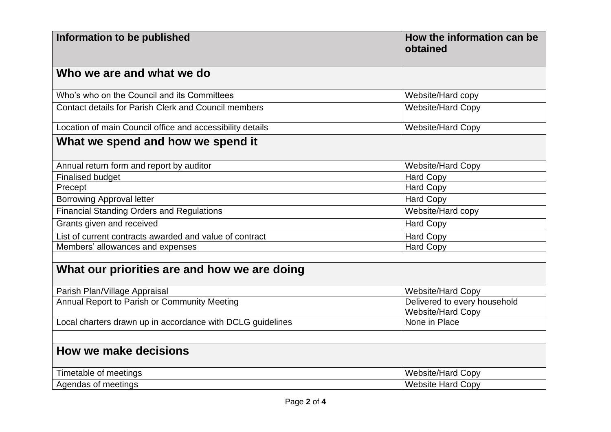| Information to be published                                | How the information can be<br>obtained                   |  |
|------------------------------------------------------------|----------------------------------------------------------|--|
| Who we are and what we do                                  |                                                          |  |
| Who's who on the Council and its Committees                | Website/Hard copy                                        |  |
| Contact details for Parish Clerk and Council members       | <b>Website/Hard Copy</b>                                 |  |
| Location of main Council office and accessibility details  | <b>Website/Hard Copy</b>                                 |  |
| What we spend and how we spend it                          |                                                          |  |
| Annual return form and report by auditor                   | <b>Website/Hard Copy</b>                                 |  |
| <b>Finalised budget</b>                                    | <b>Hard Copy</b>                                         |  |
| Precept                                                    | <b>Hard Copy</b>                                         |  |
| <b>Borrowing Approval letter</b>                           | <b>Hard Copy</b>                                         |  |
| <b>Financial Standing Orders and Regulations</b>           | Website/Hard copy                                        |  |
| Grants given and received                                  | <b>Hard Copy</b>                                         |  |
| List of current contracts awarded and value of contract    | <b>Hard Copy</b>                                         |  |
| Members' allowances and expenses                           | <b>Hard Copy</b>                                         |  |
|                                                            |                                                          |  |
| What our priorities are and how we are doing               |                                                          |  |
| Parish Plan/Village Appraisal                              | Website/Hard Copy                                        |  |
| Annual Report to Parish or Community Meeting               | Delivered to every household<br><b>Website/Hard Copy</b> |  |
| Local charters drawn up in accordance with DCLG guidelines | None in Place                                            |  |
|                                                            |                                                          |  |
| How we make decisions                                      |                                                          |  |
| Timetable of meetings                                      | <b>Website/Hard Copy</b>                                 |  |
| Agendas of meetings                                        | <b>Website Hard Copy</b>                                 |  |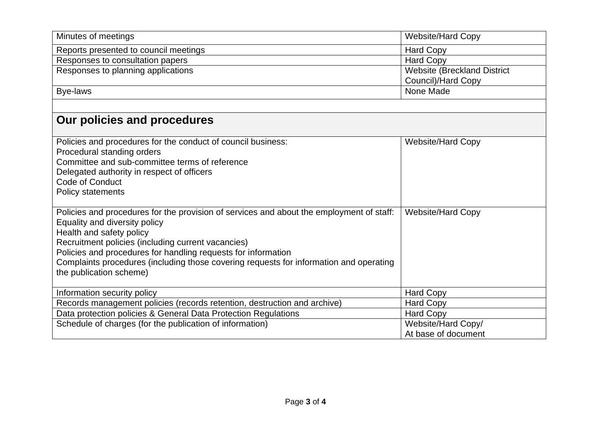| Minutes of meetings                                                                      | <b>Website/Hard Copy</b>           |
|------------------------------------------------------------------------------------------|------------------------------------|
| Reports presented to council meetings                                                    | <b>Hard Copy</b>                   |
| Responses to consultation papers                                                         | Hard Copy                          |
| Responses to planning applications                                                       | <b>Website (Breckland District</b> |
|                                                                                          | Council)/Hard Copy                 |
| Bye-laws                                                                                 | None Made                          |
|                                                                                          |                                    |
| Our policies and procedures                                                              |                                    |
| Policies and procedures for the conduct of council business:                             | <b>Website/Hard Copy</b>           |
| Procedural standing orders                                                               |                                    |
| Committee and sub-committee terms of reference                                           |                                    |
| Delegated authority in respect of officers                                               |                                    |
| <b>Code of Conduct</b>                                                                   |                                    |
| <b>Policy statements</b>                                                                 |                                    |
|                                                                                          |                                    |
| Policies and procedures for the provision of services and about the employment of staff: | <b>Website/Hard Copy</b>           |
| Equality and diversity policy                                                            |                                    |
| Health and safety policy                                                                 |                                    |
| Recruitment policies (including current vacancies)                                       |                                    |
| Policies and procedures for handling requests for information                            |                                    |
| Complaints procedures (including those covering requests for information and operating   |                                    |
| the publication scheme)                                                                  |                                    |
| Information security policy                                                              | <b>Hard Copy</b>                   |
| Records management policies (records retention, destruction and archive)                 | <b>Hard Copy</b>                   |
| Data protection policies & General Data Protection Regulations                           | <b>Hard Copy</b>                   |
| Schedule of charges (for the publication of information)                                 | Website/Hard Copy/                 |
|                                                                                          | At base of document                |